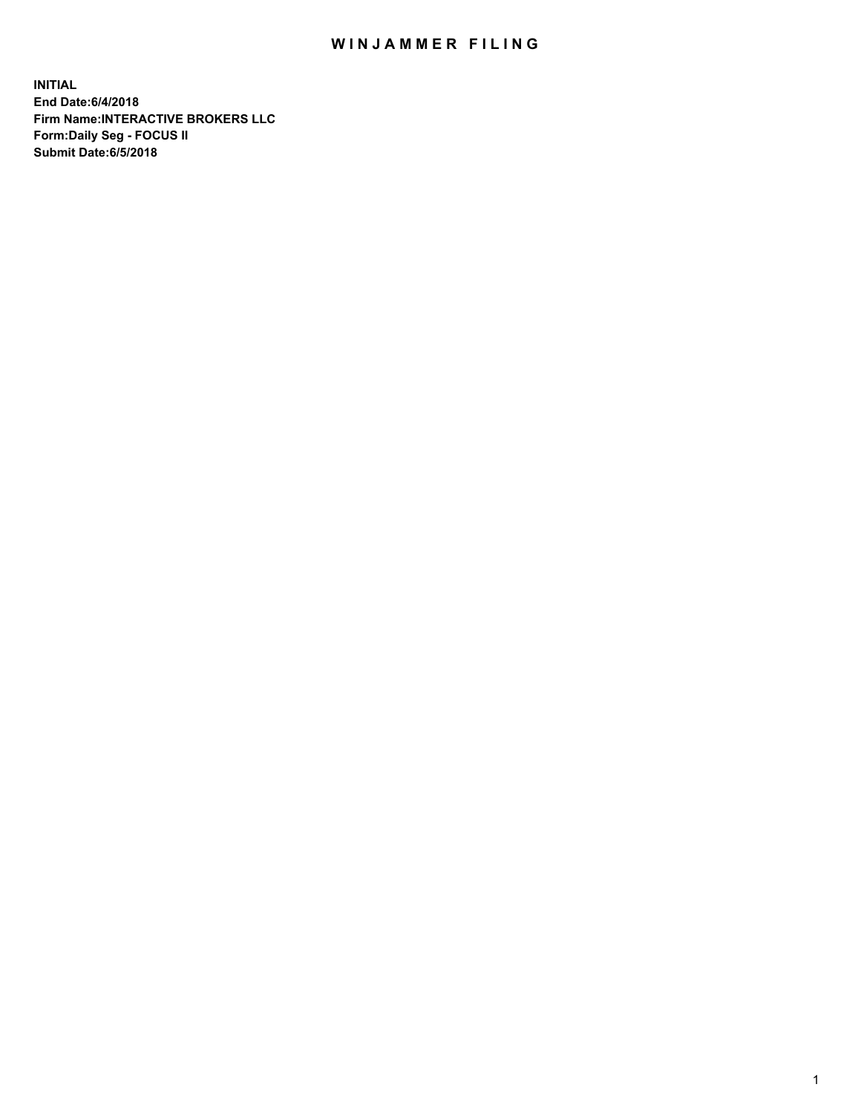## WIN JAMMER FILING

**INITIAL End Date:6/4/2018 Firm Name:INTERACTIVE BROKERS LLC Form:Daily Seg - FOCUS II Submit Date:6/5/2018**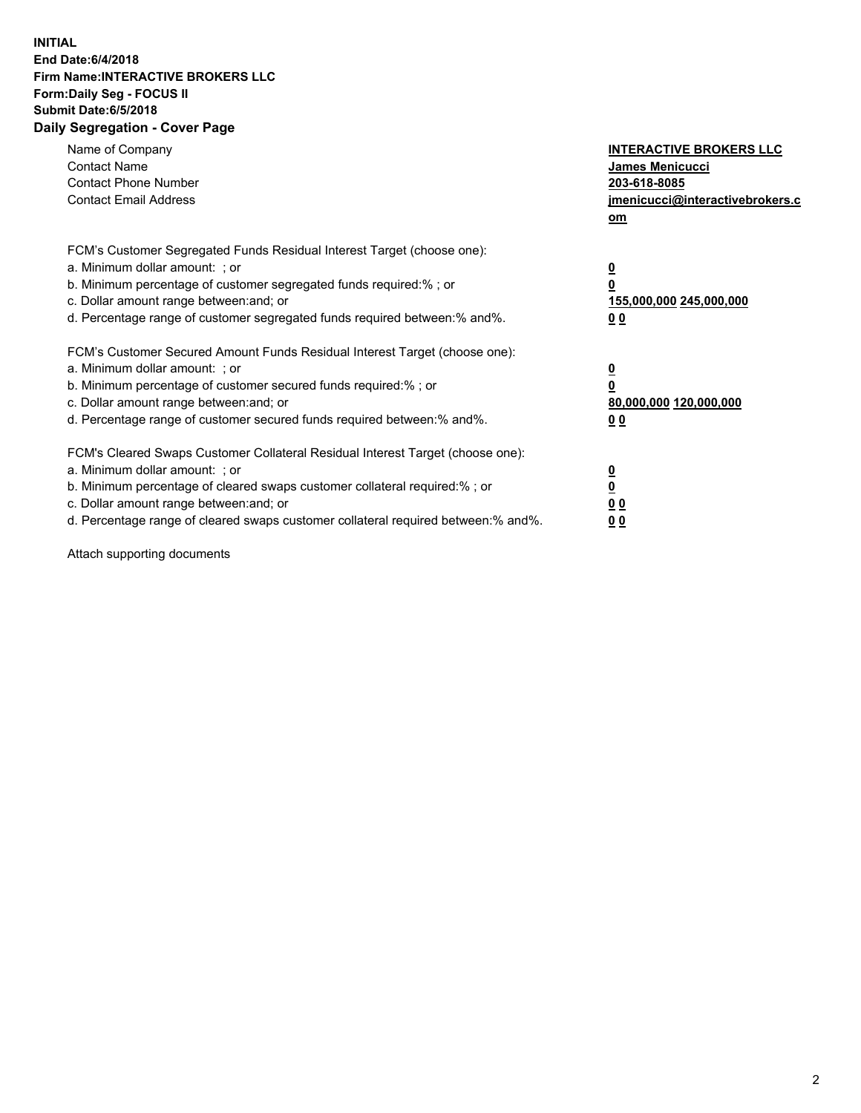## **INITIAL End Date:6/4/2018 Firm Name:INTERACTIVE BROKERS LLC Form:Daily Seg - FOCUS II Submit Date:6/5/2018 Daily Segregation - Cover Page**

| Name of Company<br><b>Contact Name</b><br><b>Contact Phone Number</b><br><b>Contact Email Address</b>                                                                                                                                                                                                                          | <b>INTERACTIVE BROKERS LLC</b><br>James Menicucci<br>203-618-8085<br>jmenicucci@interactivebrokers.c<br>om |
|--------------------------------------------------------------------------------------------------------------------------------------------------------------------------------------------------------------------------------------------------------------------------------------------------------------------------------|------------------------------------------------------------------------------------------------------------|
| FCM's Customer Segregated Funds Residual Interest Target (choose one):<br>a. Minimum dollar amount: ; or<br>b. Minimum percentage of customer segregated funds required:%; or<br>c. Dollar amount range between: and; or<br>d. Percentage range of customer segregated funds required between:% and%.                          | $\overline{\mathbf{0}}$<br>$\overline{\mathbf{0}}$<br>155,000,000 245,000,000<br>00                        |
| FCM's Customer Secured Amount Funds Residual Interest Target (choose one):<br>a. Minimum dollar amount: ; or<br>b. Minimum percentage of customer secured funds required:%; or<br>c. Dollar amount range between: and; or<br>d. Percentage range of customer secured funds required between: % and %.                          | $\overline{\mathbf{0}}$<br>0<br>80,000,000 120,000,000<br>00                                               |
| FCM's Cleared Swaps Customer Collateral Residual Interest Target (choose one):<br>a. Minimum dollar amount: ; or<br>b. Minimum percentage of cleared swaps customer collateral required:% ; or<br>c. Dollar amount range between: and; or<br>d. Percentage range of cleared swaps customer collateral required between:% and%. | $\overline{\mathbf{0}}$<br>$\underline{\mathbf{0}}$<br>0 <sub>0</sub><br>0 <sub>0</sub>                    |

Attach supporting documents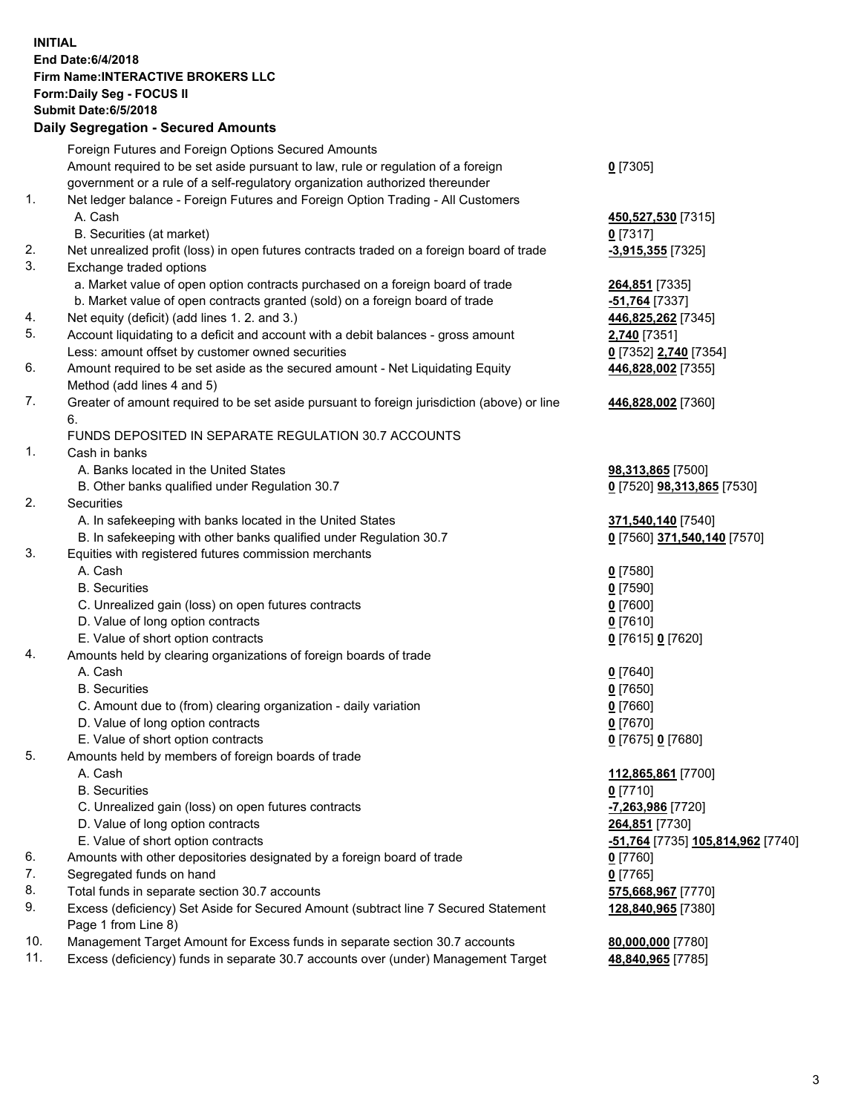## **INITIAL End Date:6/4/2018 Firm Name:INTERACTIVE BROKERS LLC Form:Daily Seg - FOCUS II Submit Date:6/5/2018 Daily Segregation - Secured Amounts**

|     | Foreign Futures and Foreign Options Secured Amounts                                         |                                  |
|-----|---------------------------------------------------------------------------------------------|----------------------------------|
|     | Amount required to be set aside pursuant to law, rule or regulation of a foreign            | $0$ [7305]                       |
|     | government or a rule of a self-regulatory organization authorized thereunder                |                                  |
| 1.  | Net ledger balance - Foreign Futures and Foreign Option Trading - All Customers             |                                  |
|     | A. Cash                                                                                     | 450,527,530 [7315]               |
|     | B. Securities (at market)                                                                   | $0$ [7317]                       |
| 2.  | Net unrealized profit (loss) in open futures contracts traded on a foreign board of trade   | -3,915,355 [7325]                |
| 3.  | Exchange traded options                                                                     |                                  |
|     | a. Market value of open option contracts purchased on a foreign board of trade              | 264,851 [7335]                   |
|     | b. Market value of open contracts granted (sold) on a foreign board of trade                | -51,764 [7337]                   |
| 4.  | Net equity (deficit) (add lines 1.2. and 3.)                                                | 446,825,262 [7345]               |
| 5.  | Account liquidating to a deficit and account with a debit balances - gross amount           | 2,740 [7351]                     |
|     |                                                                                             |                                  |
|     | Less: amount offset by customer owned securities                                            | 0 [7352] 2,740 [7354]            |
| 6.  | Amount required to be set aside as the secured amount - Net Liquidating Equity              | 446,828,002 [7355]               |
|     | Method (add lines 4 and 5)                                                                  |                                  |
| 7.  | Greater of amount required to be set aside pursuant to foreign jurisdiction (above) or line | 446,828,002 [7360]               |
|     | 6.                                                                                          |                                  |
|     | FUNDS DEPOSITED IN SEPARATE REGULATION 30.7 ACCOUNTS                                        |                                  |
| 1.  | Cash in banks                                                                               |                                  |
|     | A. Banks located in the United States                                                       | 98,313,865 [7500]                |
|     | B. Other banks qualified under Regulation 30.7                                              | 0 [7520] 98,313,865 [7530]       |
| 2.  | Securities                                                                                  |                                  |
|     | A. In safekeeping with banks located in the United States                                   | 371,540,140 [7540]               |
|     | B. In safekeeping with other banks qualified under Regulation 30.7                          | 0 [7560] 371,540,140 [7570]      |
| 3.  | Equities with registered futures commission merchants                                       |                                  |
|     | A. Cash                                                                                     | $0$ [7580]                       |
|     | <b>B.</b> Securities                                                                        | $0$ [7590]                       |
|     | C. Unrealized gain (loss) on open futures contracts                                         | $0$ [7600]                       |
|     | D. Value of long option contracts                                                           | $0$ [7610]                       |
|     | E. Value of short option contracts                                                          | 0 [7615] 0 [7620]                |
| 4.  | Amounts held by clearing organizations of foreign boards of trade                           |                                  |
|     | A. Cash                                                                                     | $0$ [7640]                       |
|     | <b>B.</b> Securities                                                                        | $0$ [7650]                       |
|     | C. Amount due to (from) clearing organization - daily variation                             | $0$ [7660]                       |
|     | D. Value of long option contracts                                                           | $0$ [7670]                       |
|     | E. Value of short option contracts                                                          | 0 [7675] 0 [7680]                |
| 5.  | Amounts held by members of foreign boards of trade                                          |                                  |
|     | A. Cash                                                                                     | 112,865,861 [7700]               |
|     | <b>B.</b> Securities                                                                        | $0$ [7710]                       |
|     | C. Unrealized gain (loss) on open futures contracts                                         | -7,263,986 [7720]                |
|     | D. Value of long option contracts                                                           | 264,851 [7730]                   |
|     | E. Value of short option contracts                                                          | 51,764 [7735] 105,814,962 [7740] |
| 6.  | Amounts with other depositories designated by a foreign board of trade                      | $0$ [7760]                       |
| 7.  | Segregated funds on hand                                                                    | $0$ [7765]                       |
| 8.  | Total funds in separate section 30.7 accounts                                               |                                  |
|     |                                                                                             | 575,668,967 [7770]               |
| 9.  | Excess (deficiency) Set Aside for Secured Amount (subtract line 7 Secured Statement         | 128,840,965 [7380]               |
|     | Page 1 from Line 8)                                                                         |                                  |
| 10. | Management Target Amount for Excess funds in separate section 30.7 accounts                 | 80,000,000 [7780]                |
| 11. | Excess (deficiency) funds in separate 30.7 accounts over (under) Management Target          | 48,840,965 [7785]                |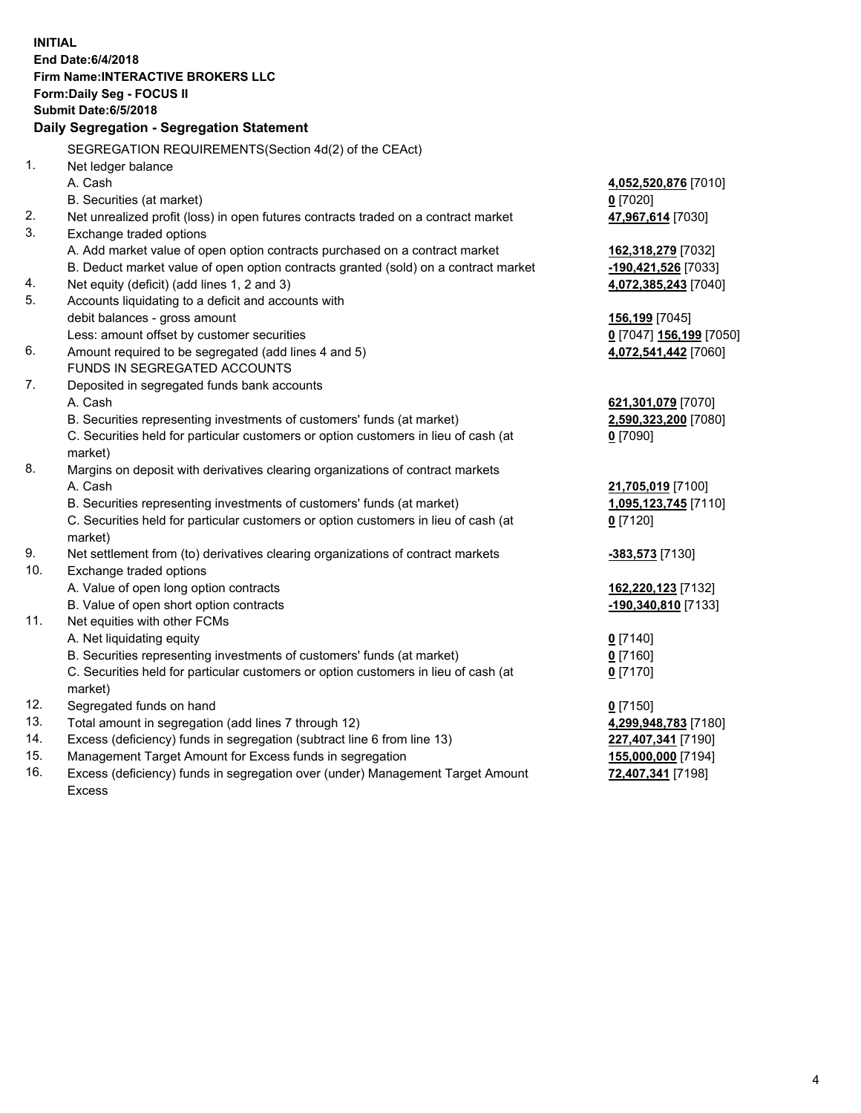**INITIAL End Date:6/4/2018 Firm Name:INTERACTIVE BROKERS LLC Form:Daily Seg - FOCUS II Submit Date:6/5/2018 Daily Segregation - Segregation Statement** SEGREGATION REQUIREMENTS(Section 4d(2) of the CEAct) 1. Net ledger balance A. Cash **4,052,520,876** [7010] B. Securities (at market) **0** [7020] 2. Net unrealized profit (loss) in open futures contracts traded on a contract market **47,967,614** [7030] 3. Exchange traded options A. Add market value of open option contracts purchased on a contract market **162,318,279** [7032] B. Deduct market value of open option contracts granted (sold) on a contract market **-190,421,526** [7033] 4. Net equity (deficit) (add lines 1, 2 and 3) **4,072,385,243** [7040] 5. Accounts liquidating to a deficit and accounts with debit balances - gross amount **156,199** [7045] Less: amount offset by customer securities **0** [7047] **156,199** [7050] 6. Amount required to be segregated (add lines 4 and 5) **4,072,541,442** [7060] FUNDS IN SEGREGATED ACCOUNTS 7. Deposited in segregated funds bank accounts A. Cash **621,301,079** [7070] B. Securities representing investments of customers' funds (at market) **2,590,323,200** [7080] C. Securities held for particular customers or option customers in lieu of cash (at market) **0** [7090] 8. Margins on deposit with derivatives clearing organizations of contract markets A. Cash **21,705,019** [7100] B. Securities representing investments of customers' funds (at market) **1,095,123,745** [7110] C. Securities held for particular customers or option customers in lieu of cash (at market) **0** [7120] 9. Net settlement from (to) derivatives clearing organizations of contract markets **-383,573** [7130] 10. Exchange traded options A. Value of open long option contracts **162,220,123** [7132] B. Value of open short option contracts **-190,340,810** [7133] 11. Net equities with other FCMs A. Net liquidating equity **0** [7140] B. Securities representing investments of customers' funds (at market) **0** [7160] C. Securities held for particular customers or option customers in lieu of cash (at market) **0** [7170] 12. Segregated funds on hand **0** [7150] 13. Total amount in segregation (add lines 7 through 12) **4,299,948,783** [7180] 14. Excess (deficiency) funds in segregation (subtract line 6 from line 13) **227,407,341** [7190] 15. Management Target Amount for Excess funds in segregation **155,000,000** [7194] **72,407,341** [7198]

16. Excess (deficiency) funds in segregation over (under) Management Target Amount Excess